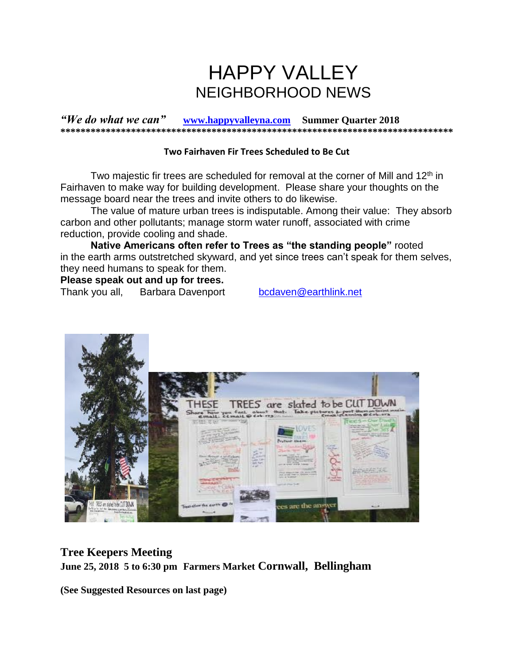# HAPPY VALLEY NEIGHBORHOOD NEWS

*"We do what we can"* **[www.happyvalleyna.com](http://www.happyvalleyna.com/) Summer Quarter 2018 \*\*\*\*\*\*\*\*\*\*\*\*\*\*\*\*\*\*\*\*\*\*\*\*\*\*\*\*\*\*\*\*\*\*\*\*\*\*\*\*\*\*\*\*\*\*\*\*\*\*\*\*\*\*\*\*\*\*\*\*\*\*\*\*\*\*\*\*\*\*\*\*\*\*\*\*\*\***

#### **Two Fairhaven Fir Trees Scheduled to Be Cut**

Two majestic fir trees are scheduled for removal at the corner of Mill and  $12<sup>th</sup>$  in Fairhaven to make way for building development. Please share your thoughts on the message board near the trees and invite others to do likewise.

The value of mature urban trees is indisputable. Among their value: They absorb carbon and other pollutants; manage storm water runoff, associated with crime reduction, provide cooling and shade.

**Native Americans often refer to Trees as "the standing people"** rooted in the earth arms outstretched skyward, and yet since trees can't speak for them selves, they need humans to speak for them.

**Please speak out and up for trees.** 

Thank you all, Barbara Davenport [bcdaven@earthlink.net](mailto:bcdaven@earthlink.net) 



**Tree Keepers Meeting June 25, 2018 5 to 6:30 pm Farmers Market Cornwall, Bellingham**

**(See Suggested Resources on last page)**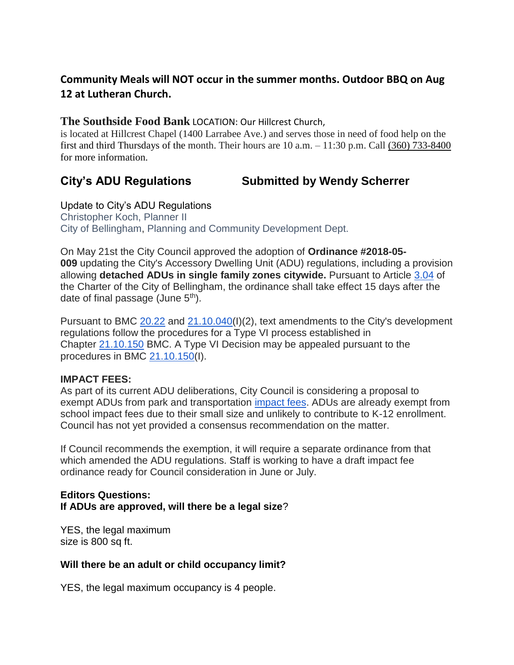# **Community Meals will NOT occur in the summer months. Outdoor BBQ on Aug 12 at Lutheran Church.**

## **The Southside Food Bank** LOCATION: Our Hillcrest Church,

is located at Hillcrest Chapel (1400 Larrabee Ave.) and serves those in need of food help on the first and third Thursdays of the month. Their hours are  $10$  a.m.  $-11:30$  p.m. Call [\(360\) 733-8400](about:blank) for more information.

# **City's ADU Regulations Submitted by Wendy Scherrer**

Update to City's ADU Regulations Christopher Koch, Planner II City of Bellingham, Planning and Community Development Dept.

On May 21st the City Council approved the adoption of **Ordinance #2018-05- 009** updating the City's Accessory Dwelling Unit (ADU) regulations, including a provision allowing **detached ADUs in single family zones citywide.** Pursuant to Article [3.04](http://www.codepublishing.com/WA/Bellingham/html/BellinghamCH/BellinghamCH03.html#Article%20III) of the Charter of the City of Bellingham, the ordinance shall take effect 15 days after the date of final passage (June  $5<sup>th</sup>$ ).

Pursuant to BMC [20.22](http://www.codepublishing.com/WA/Bellingham/html/Bellingham20/Bellingham20.html) and [21.10.040\(](http://www.codepublishing.com/WA/Bellingham/html/Bellingham21/Bellingham2110.html#21.10)I)(2), text amendments to the City's development regulations follow the procedures for a Type VI process established in Chapter [21.10.150](http://www.codepublishing.com/WA/Bellingham/html/Bellingham21/Bellingham2110.html#21.10.150) BMC. A Type VI Decision may be appealed pursuant to the procedures in BMC [21.10.150\(](http://www.codepublishing.com/WA/Bellingham/html/Bellingham21/Bellingham2110.html#21.10.150)I).

### **IMPACT FEES:**

As part of its current ADU deliberations, City Council is considering a proposal to exempt ADUs from park and transportation [impact fees.](https://na01.safelinks.protection.outlook.com/?url=http%3A%2F%2Fwww.codepublishing.com%2FWA%2FBellingham%2Fhtml%2FBellingham19%2FBellingham19.html&data=02%7C01%7C%7Cc91129888fd74608dced08d5bb717b51%7Cd438603ec0cb4a1286e40001e1d225b9%7C0%7C0%7C636621018444417015&sdata=cW10WWTqmnnT7YVcHs4ffEyvLYQcA1Gm33%2B3TraXgl4%3D&reserved=0) ADUs are already exempt from school impact fees due to their small size and unlikely to contribute to K-12 enrollment. Council has not yet provided a consensus recommendation on the matter.

If Council recommends the exemption, it will require a separate ordinance from that which amended the ADU regulations. Staff is working to have a draft impact fee ordinance ready for Council consideration in June or July.

#### **Editors Questions: If ADUs are approved, will there be a legal size**?

YES, the legal maximum size is 800 sq ft.

### **Will there be an adult or child occupancy limit?**

YES, the legal maximum occupancy is 4 people.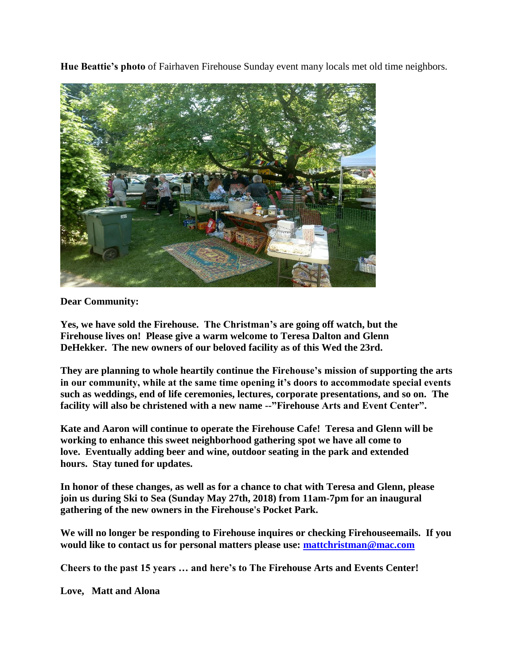**Hue Beattie's photo** of Fairhaven Firehouse Sunday event many locals met old time neighbors.



**Dear Community:**

**Yes, we have sold the Firehouse. The Christman's are going off watch, but the Firehouse lives on! Please give a warm welcome to Teresa Dalton and Glenn DeHekker. The new owners of our beloved facility as of this Wed the 23rd.**

**They are planning to whole heartily continue the Firehouse's mission of supporting the arts in our community, while at the same time opening it's doors to accommodate special events such as weddings, end of life ceremonies, lectures, corporate presentations, and so on. The facility will also be christened with a new name --"Firehouse Arts and Event Center".** 

**Kate and Aaron will continue to operate the Firehouse Cafe! Teresa and Glenn will be working to enhance this sweet neighborhood gathering spot we have all come to love. Eventually adding beer and wine, outdoor seating in the park and extended hours. Stay tuned for updates.** 

**In honor of these changes, as well as for a chance to chat with Teresa and Glenn, please join us during Ski to Sea (Sunday May 27th, 2018) from 11am-7pm for an inaugural gathering of the new owners in the Firehouse's Pocket Park.**

**We will no longer be responding to Firehouse inquires or checking Firehouseemails. If you would like to contact us for personal matters please use: [mattchristman@mac.com](mailto:mattchristman@mac.com)** 

**Cheers to the past 15 years … and here's to The Firehouse Arts and Events Center!** 

**Love, Matt and Alona**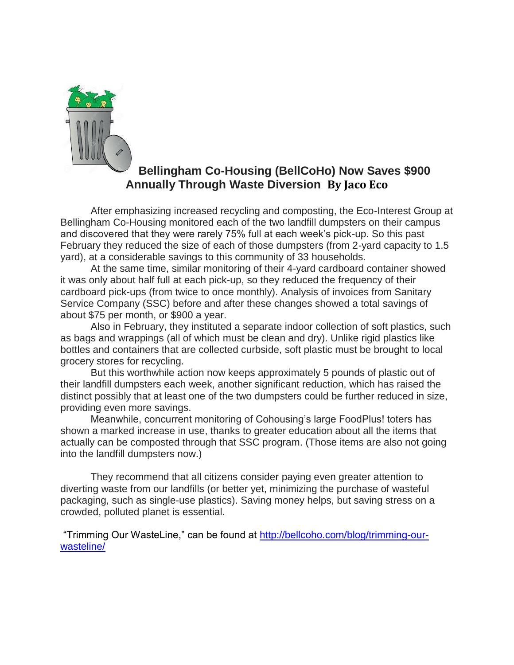

# **Bellingham Co-Housing (BellCoHo) Now Saves \$900 Annually Through Waste Diversion By Jaco Eco**

After emphasizing increased recycling and composting, the Eco-Interest Group at Bellingham Co-Housing monitored each of the two landfill dumpsters on their campus and discovered that they were rarely 75% full at each week's pick-up. So this past February they reduced the size of each of those dumpsters (from 2-yard capacity to 1.5 yard), at a considerable savings to this community of 33 households.

At the same time, similar monitoring of their 4-yard cardboard container showed it was only about half full at each pick-up, so they reduced the frequency of their cardboard pick-ups (from twice to once monthly). Analysis of invoices from Sanitary Service Company (SSC) before and after these changes showed a total savings of about \$75 per month, or \$900 a year.

Also in February, they instituted a separate indoor collection of soft plastics, such as bags and wrappings (all of which must be clean and dry). Unlike rigid plastics like bottles and containers that are collected curbside, soft plastic must be brought to local grocery stores for recycling.

But this worthwhile action now keeps approximately 5 pounds of plastic out of their landfill dumpsters each week, another significant reduction, which has raised the distinct possibly that at least one of the two dumpsters could be further reduced in size, providing even more savings.

Meanwhile, concurrent monitoring of Cohousing's large FoodPlus! toters has shown a marked increase in use, thanks to greater education about all the items that actually can be composted through that SSC program. (Those items are also not going into the landfill dumpsters now.)

They recommend that all citizens consider paying even greater attention to diverting waste from our landfills (or better yet, minimizing the purchase of wasteful packaging, such as single-use plastics). Saving money helps, but saving stress on a crowded, polluted planet is essential.

"Trimming Our WasteLine," can be found at [http://bellcoho.com/blog/trimming-our](http://bellcoho.com/blog/trimming-our-wasteline/)[wasteline/](http://bellcoho.com/blog/trimming-our-wasteline/)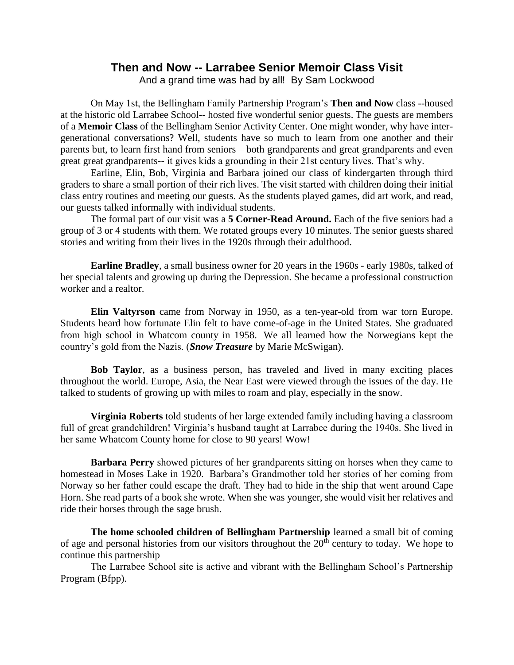# **Then and Now -- Larrabee Senior Memoir Class Visit**

And a grand time was had by all! By Sam Lockwood

On May 1st, the Bellingham Family Partnership Program's **Then and Now** class --housed at the historic old Larrabee School-- hosted five wonderful senior guests. The guests are members of a **Memoir Class** of the Bellingham Senior Activity Center. One might wonder, why have intergenerational conversations? Well, students have so much to learn from one another and their parents but, to learn first hand from seniors – both grandparents and great grandparents and even great great grandparents-- it gives kids a grounding in their 21st century lives. That's why.

Earline, Elin, Bob, Virginia and Barbara joined our class of kindergarten through third graders to share a small portion of their rich lives. The visit started with children doing their initial class entry routines and meeting our guests. As the students played games, did art work, and read, our guests talked informally with individual students.

The formal part of our visit was a **5 Corner-Read Around.** Each of the five seniors had a group of 3 or 4 students with them. We rotated groups every 10 minutes. The senior guests shared stories and writing from their lives in the 1920s through their adulthood.

**Earline Bradley**, a small business owner for 20 years in the 1960s - early 1980s, talked of her special talents and growing up during the Depression. She became a professional construction worker and a realtor.

**Elin Valtyrson** came from Norway in 1950, as a ten-year-old from war torn Europe. Students heard how fortunate Elin felt to have come-of-age in the United States. She graduated from high school in Whatcom county in 1958. We all learned how the Norwegians kept the country's gold from the Nazis. (*Snow Treasure* by Marie McSwigan).

**Bob Taylor**, as a business person, has traveled and lived in many exciting places throughout the world. Europe, Asia, the Near East were viewed through the issues of the day. He talked to students of growing up with miles to roam and play, especially in the snow.

**Virginia Roberts** told students of her large extended family including having a classroom full of great grandchildren! Virginia's husband taught at Larrabee during the 1940s. She lived in her same Whatcom County home for close to 90 years! Wow!

**Barbara Perry** showed pictures of her grandparents sitting on horses when they came to homestead in Moses Lake in 1920. Barbara's Grandmother told her stories of her coming from Norway so her father could escape the draft. They had to hide in the ship that went around Cape Horn. She read parts of a book she wrote. When she was younger, she would visit her relatives and ride their horses through the sage brush.

**The home schooled children of Bellingham Partnership** learned a small bit of coming of age and personal histories from our visitors throughout the  $20<sup>th</sup>$  century to today. We hope to continue this partnership

The Larrabee School site is active and vibrant with the Bellingham School's Partnership Program (Bfpp).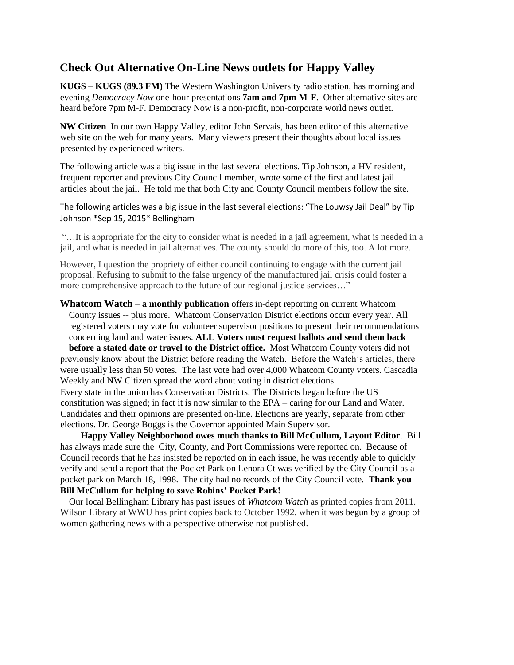# **Check Out Alternative On-Line News outlets for Happy Valley**

**KUGS – KUGS (89.3 FM)** The Western Washington University radio station, has morning and evening *Democracy Now* one-hour presentations **7am and 7pm M-F**. Other alternative sites are heard before 7pm M-F. Democracy Now is a non-profit, non-corporate world news outlet.

**NW Citizen** In our own Happy Valley, editor John Servais, has been editor of this alternative web site on the web for many years. Many viewers present their thoughts about local issues presented by experienced writers.

The following article was a big issue in the last several elections. Tip Johnson, a HV resident, frequent reporter and previous City Council member, wrote some of the first and latest jail articles about the jail. He told me that both City and County Council members follow the site.

The following articles was a big issue in the last several elections: "The Louwsy Jail Deal" by Tip Johnson \*Sep 15, 2015\* Bellingham

"…It is appropriate for the city to consider what is needed in a jail agreement, what is needed in a jail, and what is needed in jail alternatives. The county should do more of this, too. A lot more.

However, I question the propriety of either council continuing to engage with the current jail proposal. Refusing to submit to the false urgency of the manufactured jail crisis could foster a more comprehensive approach to the future of our regional justice services…"

**Whatcom Watch – a monthly publication** offers in-dept reporting on current Whatcom County issues -- plus more. Whatcom Conservation District elections occur every year. All registered voters may vote for volunteer supervisor positions to present their recommendations concerning land and water issues. **ALL Voters must request ballots and send them back**

**before a stated date or travel to the District office.** Most Whatcom County voters did not previously know about the District before reading the Watch. Before the Watch's articles, there were usually less than 50 votes. The last vote had over 4,000 Whatcom County voters. Cascadia Weekly and NW Citizen spread the word about voting in district elections.

Every state in the union has Conservation Districts. The Districts began before the US constitution was signed; in fact it is now similar to the EPA – caring for our Land and Water. Candidates and their opinions are presented on-line. Elections are yearly, separate from other elections. Dr. George Boggs is the Governor appointed Main Supervisor.

 **Happy Valley Neighborhood owes much thanks to Bill McCullum, Layout Editor**. Bill has always made sure the City, County, and Port Commissions were reported on. Because of Council records that he has insisted be reported on in each issue, he was recently able to quickly verify and send a report that the Pocket Park on Lenora Ct was verified by the City Council as a pocket park on March 18, 1998. The city had no records of the City Council vote. **Thank you Bill McCullum for helping to save Robins' Pocket Park!** 

 Our local Bellingham Library has past issues of *Whatcom Watch* as printed copies from 2011. Wilson Library at WWU has print copies back to October 1992, when it was begun by a group of women gathering news with a perspective otherwise not published.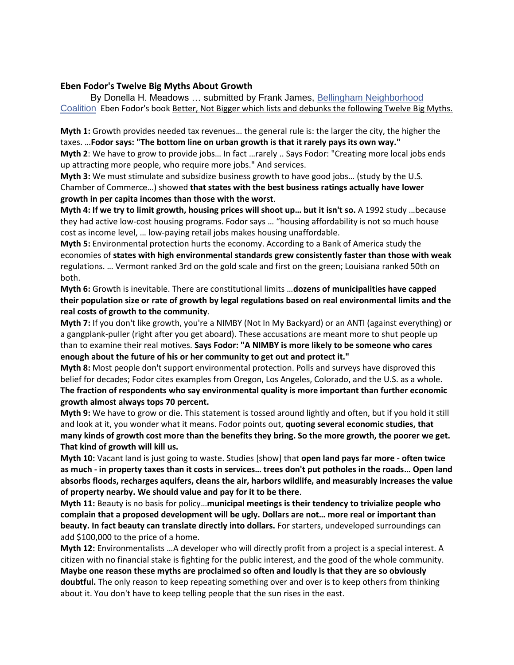#### **Eben Fodor's Twelve Big Myths About Growth**

By Donella H. Meadows … submitted by Frank James, [Bellingham Neighborhood](https://www.facebook.com/n/?groups%2FBellinghamNeighborhoodCoalition%2F&aref=1525809437539271&medium=email&mid=56bdb5df52aeeG5af3aec177e9G56bb73184fbc7G96&bcode=2.1525966039.Abybrl6LBhndtuI0cCU&n_m=bobbi2%40q.com)  [Coalition](https://www.facebook.com/n/?groups%2FBellinghamNeighborhoodCoalition%2F&aref=1525809437539271&medium=email&mid=56bdb5df52aeeG5af3aec177e9G56bb73184fbc7G96&bcode=2.1525966039.Abybrl6LBhndtuI0cCU&n_m=bobbi2%40q.com) Eben Fodor's book Better, Not Bigger which lists and debunks the following Twelve Big Myths.

**Myth 1:** Growth provides needed tax revenues… the general rule is: the larger the city, the higher the taxes. …**Fodor says: "The bottom line on urban growth is that it rarely pays its own way." Myth 2**: We have to grow to provide jobs… In fact …rarely .. Says Fodor: "Creating more local jobs ends up attracting more people, who require more jobs." And services.

**Myth 3:** We must stimulate and subsidize business growth to have good jobs… (study by the U.S. Chamber of Commerce…) showed **that states with the best business ratings actually have lower growth in per capita incomes than those with the worst**.

**Myth 4: If we try to limit growth, housing prices will shoot up… but it isn't so.** A 1992 study …because they had active low-cost housing programs. Fodor says … "housing affordability is not so much house cost as income level, … low-paying retail jobs makes housing unaffordable.

**Myth 5:** Environmental protection hurts the economy. According to a Bank of America study the economies of **states with high environmental standards grew consistently faster than those with weak** regulations. … Vermont ranked 3rd on the gold scale and first on the green; Louisiana ranked 50th on both.

**Myth 6:** Growth is inevitable. There are constitutional limits …**dozens of municipalities have capped their population size or rate of growth by legal regulations based on real environmental limits and the real costs of growth to the community**.

**Myth 7:** If you don't like growth, you're a NIMBY (Not In My Backyard) or an ANTI (against everything) or a gangplank-puller (right after you get aboard). These accusations are meant more to shut people up than to examine their real motives. **Says Fodor: "A NIMBY is more likely to be someone who cares enough about the future of his or her community to get out and protect it."**

**Myth 8:** Most people don't support environmental protection. Polls and surveys have disproved this belief for decades; Fodor cites examples from Oregon, Los Angeles, Colorado, and the U.S. as a whole. **The fraction of respondents who say environmental quality is more important than further economic growth almost always tops 70 percent.**

**Myth 9:** We have to grow or die. This statement is tossed around lightly and often, but if you hold it still and look at it, you wonder what it means. Fodor points out, **quoting several economic studies, that many kinds of growth cost more than the benefits they bring. So the more growth, the poorer we get. That kind of growth will kill us.**

**Myth 10:** Vacant land is just going to waste. Studies [show] that **open land pays far more - often twice as much - in property taxes than it costs in services… trees don't put potholes in the roads… Open land absorbs floods, recharges aquifers, cleans the air, harbors wildlife, and measurably increases the value of property nearby. We should value and pay for it to be there**.

**Myth 11:** Beauty is no basis for policy…**municipal meetings is their tendency to trivialize people who complain that a proposed development will be ugly. Dollars are not… more real or important than beauty. In fact beauty can translate directly into dollars.** For starters, undeveloped surroundings can add \$100,000 to the price of a home.

**Myth 12:** Environmentalists …A developer who will directly profit from a project is a special interest. A citizen with no financial stake is fighting for the public interest, and the good of the whole community. **Maybe one reason these myths are proclaimed so often and loudly is that they are so obviously doubtful.** The only reason to keep repeating something over and over is to keep others from thinking about it. You don't have to keep telling people that the sun rises in the east.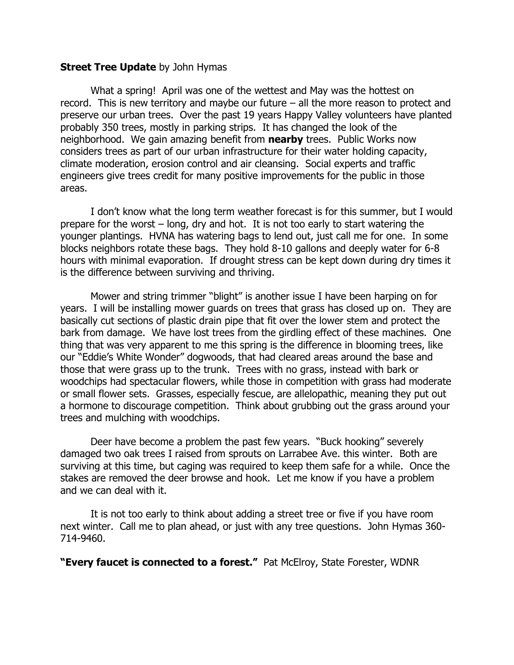#### **Street Tree Update** by John Hymas

What a spring! April was one of the wettest and May was the hottest on record. This is new territory and maybe our future – all the more reason to protect and preserve our urban trees. Over the past 19 years Happy Valley volunteers have planted probably 350 trees, mostly in parking strips. It has changed the look of the neighborhood. We gain amazing benefit from **nearby** trees. Public Works now considers trees as part of our urban infrastructure for their water holding capacity, climate moderation, erosion control and air cleansing. Social experts and traffic engineers give trees credit for many positive improvements for the public in those areas.

I don't know what the long term weather forecast is for this summer, but I would prepare for the worst – long, dry and hot. It is not too early to start watering the younger plantings. HVNA has watering bags to lend out, just call me for one. In some blocks neighbors rotate these bags. They hold 8-10 gallons and deeply water for 6-8 hours with minimal evaporation. If drought stress can be kept down during dry times it is the difference between surviving and thriving.

Mower and string trimmer "blight" is another issue I have been harping on for years. I will be installing mower guards on trees that grass has closed up on. They are basically cut sections of plastic drain pipe that fit over the lower stem and protect the bark from damage. We have lost trees from the girdling effect of these machines. One thing that was very apparent to me this spring is the difference in blooming trees, like our "Eddie's White Wonder" dogwoods, that had cleared areas around the base and those that were grass up to the trunk. Trees with no grass, instead with bark or woodchips had spectacular flowers, while those in competition with grass had moderate or small flower sets. Grasses, especially fescue, are allelopathic, meaning they put out a hormone to discourage competition. Think about grubbing out the grass around your trees and mulching with woodchips.

Deer have become a problem the past few years. "Buck hooking" severely damaged two oak trees I raised from sprouts on Larrabee Ave. this winter. Both are surviving at this time, but caging was required to keep them safe for a while. Once the stakes are removed the deer browse and hook. Let me know if you have a problem and we can deal with it.

It is not too early to think about adding a street tree or five if you have room next winter. Call me to plan ahead, or just with any tree questions. John Hymas 360- 714-9460.

**"Every faucet is connected to a forest."** Pat McElroy, State Forester, WDNR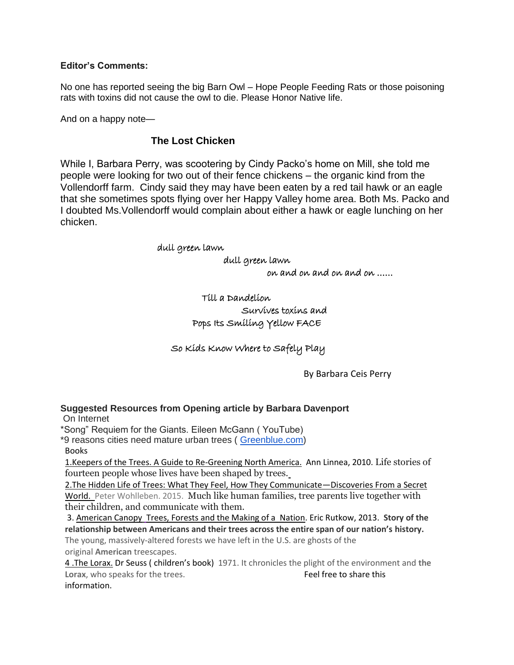#### **Editor's Comments:**

No one has reported seeing the big Barn Owl – Hope People Feeding Rats or those poisoning rats with toxins did not cause the owl to die. Please Honor Native life.

And on a happy note—

### **The Lost Chicken**

While I, Barbara Perry, was scootering by Cindy Packo's home on Mill, she told me people were looking for two out of their fence chickens – the organic kind from the Vollendorff farm. Cindy said they may have been eaten by a red tail hawk or an eagle that she sometimes spots flying over her Happy Valley home area. Both Ms. Packo and I doubted Ms.Vollendorff would complain about either a hawk or eagle lunching on her chicken.

#### dull green lawn

dull green lawn

on and on and on and on ……

# Till a Dandelion Survives toxins and Pops Its Smiling Yellow FACE

So Kids Know Where to Safely Play

By Barbara Ceis Perry

### **Suggested Resources from Opening article by Barbara Davenport**

On Internet

\*Song" Requiem for the Giants. Eileen McGann ( YouTube)

\*9 reasons cities need mature urban trees ( [Greenblue.com\)](http://greenblue.com/) Books

1.Keepers of the Trees. A Guide to Re-Greening North America. Ann Linnea, 2010. Life stories of fourteen people whose lives have been shaped by trees.

2.The Hidden Life of Trees: What They Feel, How They Communicate—Discoveries From a Secret World. Peter Wohlleben. 2015. Much like human families, tree parents live together with their children, and communicate with them.

3. American Canopy [Trees, Forests and the Making of a](https://www.bostonglobe.com/arts/books/2012/05/19/review-american-canopy-trees-forests-and-making-nation-eric-rutkow/GqHtJCmn50ch1QyJOtQnGM/story.html) Nation. Eric Rutkow, 2013. **Story of the relationship between Americans and their trees across the entire span of our nation's history.**

The young, massively-altered forests we have left in the U.S. are ghosts of the original **American** treescapes.

4 .The Lorax. Dr Seuss ( children's book) 1971. It chronicles the plight of the environment and **the Lorax**, who speaks for the trees. The state of the tree to share this information.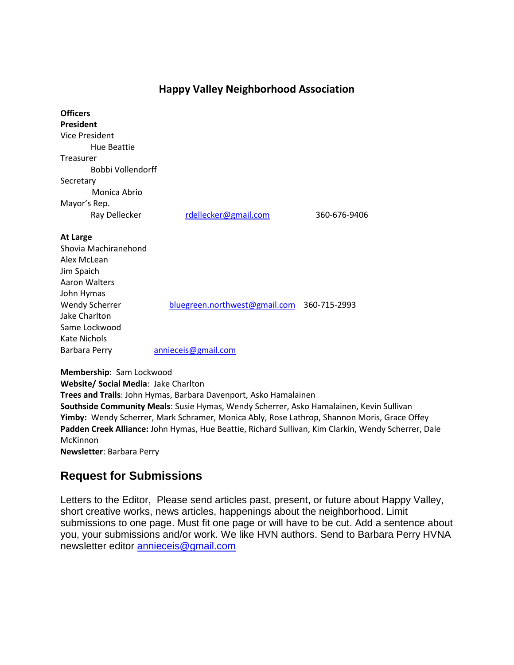# **Happy Valley Neighborhood Association**

| <b>Officers</b>       |                                            |              |
|-----------------------|--------------------------------------------|--------------|
| <b>President</b>      |                                            |              |
| <b>Vice President</b> |                                            |              |
| <b>Hue Beattie</b>    |                                            |              |
| Treasurer             |                                            |              |
| Bobbi Vollendorff     |                                            |              |
| Secretary             |                                            |              |
| Monica Abrio          |                                            |              |
| Mayor's Rep.          |                                            |              |
| Ray Dellecker         | rdellecker@gmail.com                       | 360-676-9406 |
| <b>At Large</b>       |                                            |              |
| Shovia Machiranehond  |                                            |              |
| Alex McLean           |                                            |              |
| Jim Spaich            |                                            |              |
| Aaron Walters         |                                            |              |
| John Hymas            |                                            |              |
| <b>Wendy Scherrer</b> | bluegreen.northwest@gmail.com 360-715-2993 |              |
| Jake Charlton         |                                            |              |
| Same Lockwood         |                                            |              |
| Kate Nichols          |                                            |              |
| <b>Barbara Perry</b>  | annieceis@gmail.com                        |              |
|                       |                                            |              |
|                       |                                            |              |

**Membership**: Sam Lockwood **Website/ Social Media**: Jake Charlton **Trees and Trails**: John Hymas, Barbara Davenport, Asko Hamalainen **Southside Community Meals**: Susie Hymas, Wendy Scherrer, Asko Hamalainen, Kevin Sullivan **Yimby:** Wendy Scherrer, Mark Schramer, Monica Ably, Rose Lathrop, Shannon Moris, Grace Offey **Padden Creek Alliance:** John Hymas, Hue Beattie, Richard Sullivan, Kim Clarkin, Wendy Scherrer, Dale McKinnon **Newsletter**: Barbara Perry

# **Request for Submissions**

Letters to the Editor, Please send articles past, present, or future about Happy Valley, short creative works, news articles, happenings about the neighborhood. Limit submissions to one page. Must fit one page or will have to be cut. Add a sentence about you, your submissions and/or work. We like HVN authors. Send to Barbara Perry HVNA newsletter editor [annieceis@gmail.com](mailto:annieceis@gmail.com)